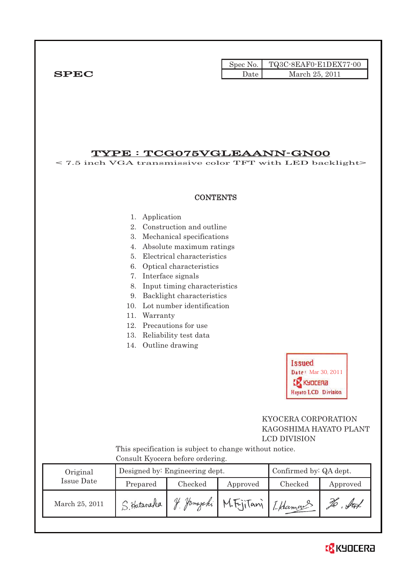|              |      | Spec No. $\vert$ TQ3C-8EAF0-E1DEX77-00 |
|--------------|------|----------------------------------------|
| ${\bf SPEC}$ | Date | March 25, 2011                         |

# TYPE : TCG075VGLEAANN-GN00

< 7.5 inch VGA transmissive color TFT with LED backlight> **CONTENTS** 1. Application 2. Construction and outline 3. Mechanical specifications 4. Absolute maximum ratings 5. Electrical characteristics 6. Optical characteristics 7. Interface signals 8. Input timing characteristics 9. Backlight characteristics 10. Lot number identification 11. Warranty 12. Precautions for use 13. Reliability test data 14. Outline drawing **Issued** Date: Mar 30, 2011 **CA** KYDCERA **Hayato LCD Division**  KYOCERA CORPORATION KAGOSHIMA HAYATO PLANT LCD DIVISION This specification is subject to change without notice. Consult Kyocera before ordering. Original Designed by: Engineering dept. Confirmed by: QA dept. Issue Date Prepared Checked Approved Checked Approved March 25, 2011 S. Hataraka Y. Yomayaki M. Fujitani [ Hamous To but

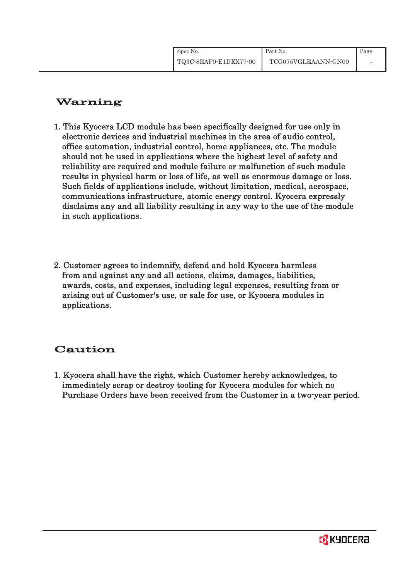# Warning

- 1. This Kyocera LCD module has been specifically designed for use only in electronic devices and industrial machines in the area of audio control, office automation, industrial control, home appliances, etc. The module should not be used in applications where the highest level of safety and reliability are required and module failure or malfunction of such module results in physical harm or loss of life, as well as enormous damage or loss. Such fields of applications include, without limitation, medical, aerospace, communications infrastructure, atomic energy control. Kyocera expressly disclaims any and all liability resulting in any way to the use of the module in such applications.
- 2. Customer agrees to indemnify, defend and hold Kyocera harmless from and against any and all actions, claims, damages, liabilities, awards, costs, and expenses, including legal expenses, resulting from or arising out of Customer's use, or sale for use, or Kyocera modules in applications.

# Caution

1. Kyocera shall have the right, which Customer hereby acknowledges, to immediately scrap or destroy tooling for Kyocera modules for which no Purchase Orders have been received from the Customer in a two-year period.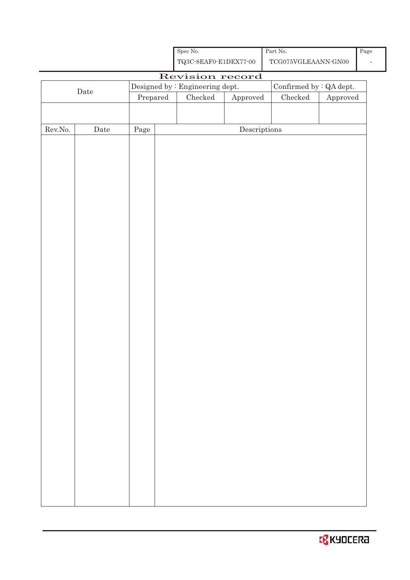

|         |                                                 |                                                             | Spec No.                                           |                                      | Part No.                                    |          | Page |
|---------|-------------------------------------------------|-------------------------------------------------------------|----------------------------------------------------|--------------------------------------|---------------------------------------------|----------|------|
|         |                                                 |                                                             | ${\bf TQ3C\text{-}SEAF0\text{-}E1DEX77\text{-}00}$ |                                      | $\operatorname{TCG075VGLEAANN\text{-}GN00}$ |          |      |
|         |                                                 |                                                             | Revision record                                    |                                      |                                             |          |      |
|         |                                                 | Designed by : Engineering dept.<br>Confirmed by $:QA$ dept. |                                                    |                                      |                                             |          |      |
|         | $\rm{Date}$<br>$\ensuremath{\mathrm{Prepared}}$ |                                                             | $\rm Checked$                                      | ${\Large\bf Approved}$               | ${\it Checked}$                             | Approved |      |
|         |                                                 |                                                             |                                                    |                                      |                                             |          |      |
|         |                                                 |                                                             |                                                    |                                      |                                             |          |      |
| Rev.No. | Date                                            | Page                                                        |                                                    | $\label{eq:2} \textbf{Descriptions}$ |                                             |          |      |
|         |                                                 |                                                             |                                                    |                                      |                                             |          |      |
|         |                                                 |                                                             |                                                    |                                      |                                             |          |      |
|         |                                                 |                                                             |                                                    |                                      |                                             |          |      |
|         |                                                 |                                                             |                                                    |                                      |                                             |          |      |
|         |                                                 |                                                             |                                                    |                                      |                                             |          |      |
|         |                                                 |                                                             |                                                    |                                      |                                             |          |      |
|         |                                                 |                                                             |                                                    |                                      |                                             |          |      |
|         |                                                 |                                                             |                                                    |                                      |                                             |          |      |
|         |                                                 |                                                             |                                                    |                                      |                                             |          |      |
|         |                                                 |                                                             |                                                    |                                      |                                             |          |      |
|         |                                                 |                                                             |                                                    |                                      |                                             |          |      |
|         |                                                 |                                                             |                                                    |                                      |                                             |          |      |
|         |                                                 |                                                             |                                                    |                                      |                                             |          |      |
|         |                                                 |                                                             |                                                    |                                      |                                             |          |      |
|         |                                                 |                                                             |                                                    |                                      |                                             |          |      |
|         |                                                 |                                                             |                                                    |                                      |                                             |          |      |
|         |                                                 |                                                             |                                                    |                                      |                                             |          |      |
|         |                                                 |                                                             |                                                    |                                      |                                             |          |      |
|         |                                                 |                                                             |                                                    |                                      |                                             |          |      |
|         |                                                 |                                                             |                                                    |                                      |                                             |          |      |
|         |                                                 |                                                             |                                                    |                                      |                                             |          |      |
|         |                                                 |                                                             |                                                    |                                      |                                             |          |      |
|         |                                                 |                                                             |                                                    |                                      |                                             |          |      |
|         |                                                 |                                                             |                                                    |                                      |                                             |          |      |
|         |                                                 |                                                             |                                                    |                                      |                                             |          |      |
|         |                                                 |                                                             |                                                    |                                      |                                             |          |      |
|         |                                                 |                                                             |                                                    |                                      |                                             |          |      |
|         |                                                 |                                                             |                                                    |                                      |                                             |          |      |
|         |                                                 |                                                             |                                                    |                                      |                                             |          |      |
|         |                                                 |                                                             |                                                    |                                      |                                             |          |      |
|         |                                                 |                                                             |                                                    |                                      |                                             |          |      |
|         |                                                 |                                                             |                                                    |                                      |                                             |          |      |
|         |                                                 |                                                             |                                                    |                                      |                                             |          |      |
|         |                                                 |                                                             |                                                    |                                      |                                             |          |      |
|         |                                                 |                                                             |                                                    |                                      |                                             |          |      |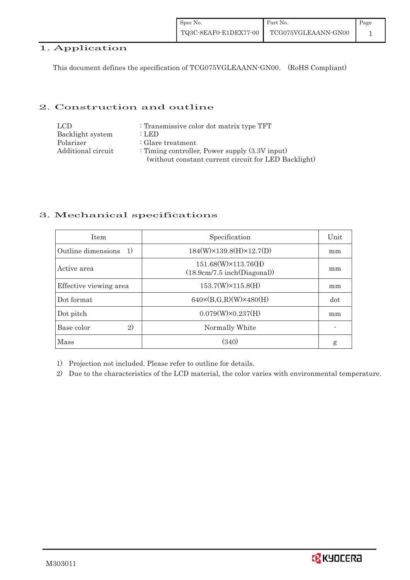| Spec No.              | Part No.            | Page |
|-----------------------|---------------------|------|
| TQ3C-8EAF0-E1DEX77-00 | TCG075VGLEAANN-GN00 |      |

# 1. Application

This document defines the specification of TCG075VGLEAANN-GN00. (RoHS Compliant)

#### 2. Construction and outline

| LCD                | : Transmissive color dot matrix type TFT             |
|--------------------|------------------------------------------------------|
| Backlight system   | : LED                                                |
| Polarizer          | : Glare treatment                                    |
| Additional circuit | : Timing controller, Power supply $(3.3V)$ input)    |
|                    | (without constant current circuit for LED Backlight) |

## 3. Mechanical specifications

| <b>Item</b>                            | Specification                                      | Unit |
|----------------------------------------|----------------------------------------------------|------|
| Outline dimensions<br>$\left(1\right)$ | $184(W)\times 139.8(H)\times 12.7(D)$              | mm   |
| Active area                            | 151.68(W)×113.76(H)<br>(18.9cm/7.5 inch(Diagonal)) | mm   |
| Effective viewing area                 | $153.7(W)\times115.8(H)$                           | mm   |
| Dot format                             | $640 \times (B,G,R)(W) \times 480(H)$              | dot  |
| Dot pitch                              | $0.079(W)\times0.237(H)$                           | mm   |
| 2)<br>Base color                       | Normally White                                     |      |
| Mass                                   | (340)                                              | g    |

1) Projection not included. Please refer to outline for details.

2) Due to the characteristics of the LCD material, the color varies with environmental temperature.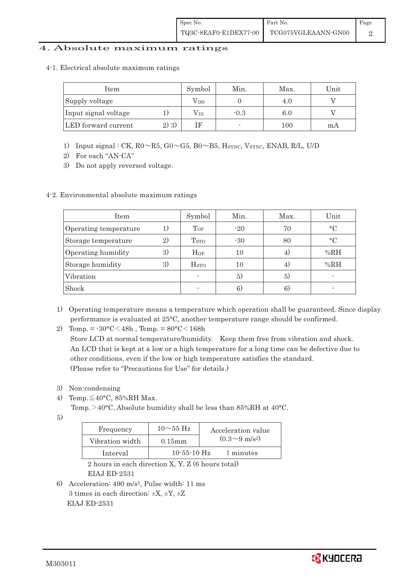### 4. Absolute maximum ratings

4-1.Electrical absolute maximum ratings

| Item                 |         | Symbol       | Min.           | Max.    | Unit |
|----------------------|---------|--------------|----------------|---------|------|
| Supply voltage       |         | Vdd          |                | 4.0     |      |
| Input signal voltage |         | $\rm V_{IN}$ | $-0.3$         | $6.0\,$ |      |
| LED forward current  | $2)$ 3) |              | $\blacksquare$ | 100     | mA   |

- 1) Input signal : CK,  $R0 \sim R5$ ,  $G0 \sim G5$ ,  $B0 \sim B5$ ,  $H_{\text{SYNC}}$ ,  $V_{\text{SYNC}}$ ,  $ENAB$ ,  $R/L$ ,  $U/D$
- 2) For each "AN-CA"
- 3) Do not apply reversed voltage.

## 4-2. Environmental absolute maximum ratings

| <b>Item</b>           |    | Symbol                   | Min.  | Max. | Unit      |
|-----------------------|----|--------------------------|-------|------|-----------|
| Operating temperature | 1) | Top                      | $-20$ | 70   | $\circ$ C |
| Storage temperature   | 2) | T <sub>STO</sub>         | $-30$ | 80   | $\circ$ C |
| Operating humidity    | 3) | $H_{OP}$                 | 10    | 4)   | %RH       |
| Storage humidity      | 3) | <b>H</b> <sub>sto</sub>  | 10    | 4)   | %RH       |
| Vibration             |    | $\overline{\phantom{a}}$ | 5)    | 5)   |           |
| Shock                 |    |                          | 6)    | 6)   |           |

- 1) Operating temperature means a temperature which operation shall be guaranteed. Since display performance is evaluated at 25°C, another temperature range should be confirmed.
- 2) Temp. =  $-30^{\circ}$ C $<$ 48h, Temp. =  $80^{\circ}$ C $<$ 168h

Store LCD at normal temperature/humidity. Keep them free from vibration and shock. An LCD that is kept at a low or a high temperature for a long time can be defective due to other conditions, even if the low or high temperature satisfies the standard. (Please refer to "Precautions for Use" for details.)

- 3) Non-condensing
- 4) Temp.  $\leq 40^{\circ}$ C, 85%RH Max.

Temp. >  $40^{\circ}$ C, Absolute humidity shall be less than 85%RH at 40 $^{\circ}$ C.

 $5)$ 

| Frequency       | $10\sim55$ Hz     | Acceleration value         |
|-----------------|-------------------|----------------------------|
| Vibration width | $0.15$ mm         | $(0.3{\sim}9~{\rm m/s^2})$ |
| Interval        | $10 - 55 - 10$ Hz | 1 minutes                  |

2 hours in each direction X, Y, Z (6 hours total) EIAJ ED-2531

6) Acceleration: 490 m/s2, Pulse width: 11 ms 3 times in each direction:  $\pm X$ ,  $\pm Y$ ,  $\pm Z$ EIAJ ED-2531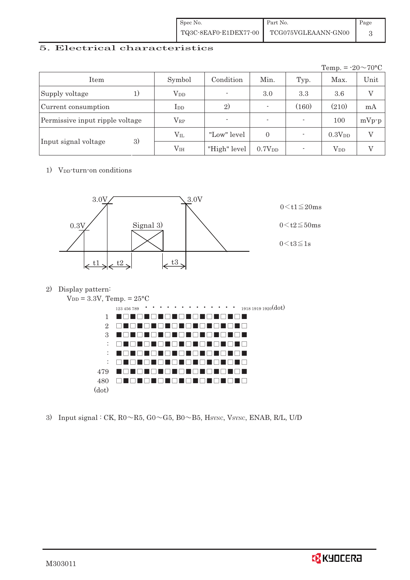| Spec No. | Part No.                                  | Page |
|----------|-------------------------------------------|------|
|          | TQ3C-8EAF0-E1DEX77-00 TCG075VGLEAANN-GN00 |      |

## 5. Electrical characteristics

|                                 |                        |                |                          |       | Temp. = $-20 \sim 70$ °C |                |
|---------------------------------|------------------------|----------------|--------------------------|-------|--------------------------|----------------|
| Item                            | Symbol                 | Condition      | Min.                     | Typ.  | Max.                     | Unit           |
| Supply voltage<br>1)            | <b>V</b> <sub>DD</sub> | $\overline{a}$ | 3.0                      | 3.3   | 3.6                      | $\overline{V}$ |
| Current consumption             | I <sub>DD</sub>        | 2)             | $\overline{\phantom{0}}$ | (160) | (210)                    | mA             |
| Permissive input ripple voltage | $\rm V_{RP}$           | $\overline{a}$ | $\overline{\phantom{a}}$ |       | 100                      | $mVp-p$        |
|                                 | $\rm V_{II}$           | "Low" level    | $\Omega$                 |       | 0.3V <sub>DD</sub>       | $\rm _V$       |
| 3)<br>Input signal voltage      | $\rm V_{IH}$           | "High" level   | 0.7V <sub>DD</sub>       |       | $\operatorname{V_{DD}}$  |                |

1) V<sub>DD</sub>-turn-on conditions



2) Display pattern:



3) Input signal : CK,  $R0 \sim R5$ ,  $G0 \sim G5$ ,  $B0 \sim B5$ ,  $H<sub>SYNC</sub>$ ,  $V<sub>SYNC</sub>$ ,  $ENAB$ ,  $R/L$ ,  $U/D$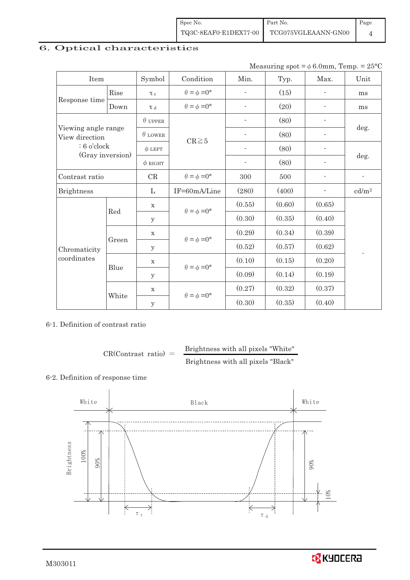| Spec No.              | Part No.            | Page |
|-----------------------|---------------------|------|
| TQ3C-8EAF0-E1DEX77-00 | TCG075VGLEAANN-GN00 |      |

# 6. Optical characteristics

|  | Measuring spot = $\phi$ 6.0mm, Temp. = 25°C |  |
|--|---------------------------------------------|--|
|--|---------------------------------------------|--|

| Item                                  |       | Symbol         | Condition                   | Min.                     | Typ.   | Max.                     | Unit                     |  |
|---------------------------------------|-------|----------------|-----------------------------|--------------------------|--------|--------------------------|--------------------------|--|
|                                       | Rise  | $\tau_r$       | $\theta = \phi = 0^{\circ}$ | $\overline{\phantom{0}}$ | (15)   | $\overline{a}$           | ms                       |  |
| Response time                         | Down  | T d            | $\theta = \phi = 0^{\circ}$ | $\overline{\phantom{a}}$ | (20)   | ٠                        | ms                       |  |
|                                       |       | $\theta$ UPPER |                             |                          | (80)   |                          |                          |  |
| Viewing angle range<br>View direction |       | $\theta$ LOWER | $CR \ge 5$                  | $\overline{\phantom{a}}$ | (80)   |                          | deg.                     |  |
| $: 6$ o'clock                         |       | $\phi$ LEFT    |                             |                          | (80)   | $\overline{\phantom{a}}$ |                          |  |
| (Gray inversion)                      |       | $\phi$ RIGHT   |                             | $\overline{\phantom{a}}$ | (80)   | $\overline{\phantom{a}}$ | deg.                     |  |
| Contrast ratio                        |       | CR             | $\theta = \phi = 0^{\circ}$ | 300                      | 500    | $\overline{a}$           | $\overline{\phantom{a}}$ |  |
| <b>Brightness</b>                     |       | $\mathbf{L}$   | IF=60mA/Line                | (280)                    | (400)  |                          | cd/m <sup>2</sup>        |  |
|                                       | Red   | $\mathbf X$    | $\theta = \phi = 0^{\circ}$ | (0.55)                   | (0.60) | (0.65)                   |                          |  |
|                                       |       | y              |                             | (0.30)                   | (0.35) | (0.40)                   |                          |  |
|                                       |       | $\mathbf X$    |                             | (0.29)                   | (0.34) | (0.39)                   |                          |  |
| Chromaticity                          | Green | У              | $\theta = \phi = 0^{\circ}$ | (0.52)                   | (0.57) | (0.62)                   |                          |  |
| coordinates                           |       | $\mathbf X$    | $\theta = \phi = 0^{\circ}$ | (0.10)                   | (0.15) | (0.20)                   |                          |  |
|                                       | Blue  | y              |                             | (0.09)                   | (0.14) | (0.19)                   |                          |  |
|                                       |       | $\mathbf X$    |                             | (0.27)                   | (0.32) | (0.37)                   |                          |  |
|                                       | White | y              | $\theta = \phi = 0^{\circ}$ | (0.30)                   | (0.35) | (0.40)                   |                          |  |

#### 6-1. Definition of contrast ratio

$$
CR(Contrast ratio) = \frac{Brightness with all pixels "White" }{Brightness with all pixels "Black" }
$$

# 6-2. Definition of response time



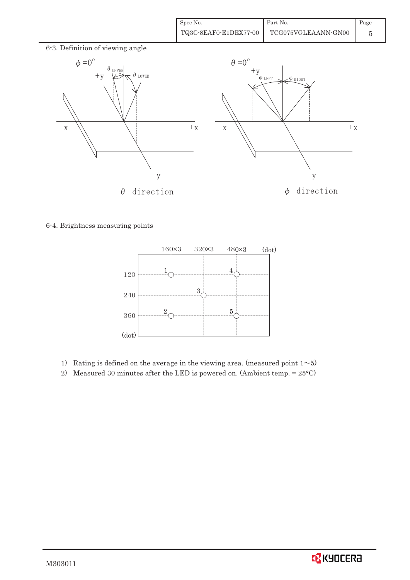| Spec No.              | Part No.            | Page |
|-----------------------|---------------------|------|
| TQ3C-8EAF0-E1DEX77-00 | TCG075VGLEAANN-GN00 |      |



6-4. Brightness measuring points



- 1) Rating is defined on the average in the viewing area. (measured point  $1~>5$ )
- 2) Measured 30 minutes after the LED is powered on. (Ambient temp. = 25°C)

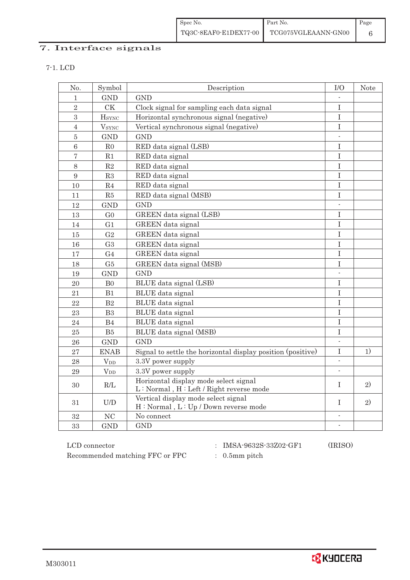Spec No. TQ3C-8EAF0-E1DEX77-00 Part No. TCG075VGLEAANN-GN00 Page 6

# 7. Interface signals

7-1. LCD

| No.              | Symbol                   | Description                                                                      | I/O                      | <b>Note</b> |
|------------------|--------------------------|----------------------------------------------------------------------------------|--------------------------|-------------|
| 1                | GND                      | <b>GND</b>                                                                       |                          |             |
| $\overline{2}$   | <b>CK</b>                | Clock signal for sampling each data signal                                       | $\mathbf I$              |             |
| 3                | <b>H</b> sync            | Horizontal synchronous signal (negative)                                         | $\rm I$                  |             |
| $\overline{4}$   | <b>V</b> <sub>SYNC</sub> | Vertical synchronous signal (negative)                                           | I                        |             |
| $\overline{5}$   | GND                      | <b>GND</b>                                                                       |                          |             |
| $\overline{6}$   | R <sub>0</sub>           | RED data signal (LSB)                                                            | I                        |             |
| $\sqrt{ }$       | R1                       | RED data signal                                                                  | $\rm I$                  |             |
| 8                | R2                       | RED data signal                                                                  | I                        |             |
| $\boldsymbol{9}$ | R3                       | RED data signal                                                                  | $\rm I$                  |             |
| 10               | R <sub>4</sub>           | RED data signal                                                                  | $\rm I$                  |             |
| 11               | ${\rm R}5$               | RED data signal (MSB)                                                            | $\rm I$                  |             |
| 12               | <b>GND</b>               | <b>GND</b>                                                                       | $\overline{\phantom{a}}$ |             |
| 13               | G <sub>0</sub>           | GREEN data signal (LSB)                                                          | $\mathbf I$              |             |
| 14               | G <sub>1</sub>           | GREEN data signal                                                                | $\overline{I}$           |             |
| 15               | G2                       | GREEN data signal                                                                | T                        |             |
| 16               | G <sub>3</sub>           | <b>GREEN</b> data signal                                                         | $\overline{I}$           |             |
| 17               | G <sub>4</sub>           | GREEN data signal                                                                | I                        |             |
| 18               | G <sub>5</sub>           | GREEN data signal (MSB)                                                          | I                        |             |
| 19               | <b>GND</b>               | <b>GND</b>                                                                       |                          |             |
| $20\,$           | B <sub>0</sub>           | BLUE data signal (LSB)                                                           | $\mathbf I$              |             |
| 21               | B1                       | BLUE data signal                                                                 | $\rm I$                  |             |
| 22               | B2                       | BLUE data signal                                                                 | $\rm I$                  |             |
| 23               | B <sub>3</sub>           | BLUE data signal                                                                 | $\mathbf I$              |             |
| 24               | B <sub>4</sub>           | BLUE data signal                                                                 | $\rm I$                  |             |
| 25               | B5                       | BLUE data signal (MSB)                                                           | $\rm I$                  |             |
| 26               | <b>GND</b>               | <b>GND</b>                                                                       | $\mathcal{L}$            |             |
| 27               | <b>ENAB</b>              | Signal to settle the horizontal display position (positive)                      | I                        | 1)          |
| 28               | $V_{DD}$                 | 3.3V power supply                                                                |                          |             |
| 29               | $V_{DD}$                 | 3.3V power supply                                                                | $\overline{\phantom{a}}$ |             |
| 30               | R/L                      | Horizontal display mode select signal<br>L: Normal, H: Left / Right reverse mode | T                        | 2)          |
| 31               | U/D                      | Vertical display mode select signal<br>H: Normal, L: Up / Down reverse mode      | T                        | 2)          |
| 32               | NC                       | $\rm No$ $\rm connect$                                                           | $\overline{\phantom{a}}$ |             |
| 33               | <b>GND</b>               | <b>GND</b>                                                                       | $\overline{\phantom{a}}$ |             |

Recommended matching FFC or FPC  $\qquad$  : 0.5mm pitch

 $\rm LCD~connector \qquad \qquad : \quad IMSA\mbox{-}9632S\mbox{-}33Z02\mbox{-}GF1 \qquad \qquad (IRISO)$ 

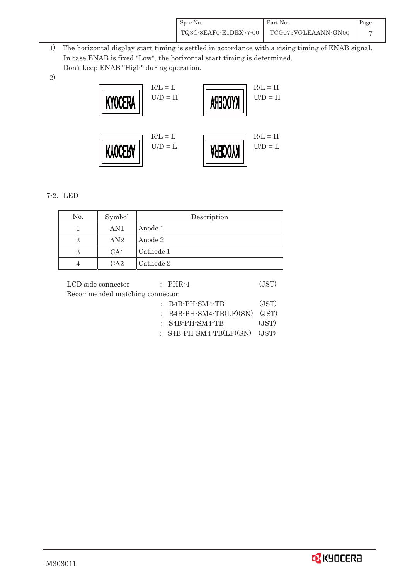| Spec No.              | Part No.            | Page |
|-----------------------|---------------------|------|
| TQ3C-8EAF0-E1DEX77-00 | TCG075VGLEAANN-GN00 |      |

 1) The horizontal display start timing is settled in accordance with a rising timing of ENAB signal. In case ENAB is fixed "Low", the horizontal start timing is determined. Don't keep ENAB "High" during operation.

2)



## $7-2.$  LED

| No. | Symbol | Description |
|-----|--------|-------------|
|     | AN1    | Anode 1     |
| 2   | AN2    | Anode 2     |
| 3   | CA1    | Cathode 1   |
|     | $C_A2$ | Cathode 2   |

| LCD side connector             | $\therefore$ PHR-4               | (JST) |
|--------------------------------|----------------------------------|-------|
| Recommended matching connector |                                  |       |
|                                | $:B4B-PH-SM4-TB$                 | (JST) |
|                                | : $B4B$ -PH-SM4-TB(LF)(SN) (JST) |       |
|                                | $:$ S4B-PH-SM4-TB                | (JST) |
|                                | $:$ S4B-PH-SM4-TB(LF)(SN) (JST)  |       |
|                                |                                  |       |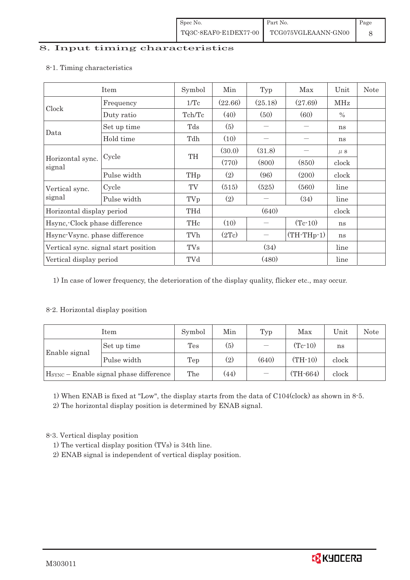## 8. Input timing characteristics

|                                      | Item        | Symbol     | Min     | Typ               | Max          | Unit                                                                                                                                                | <b>Note</b> |
|--------------------------------------|-------------|------------|---------|-------------------|--------------|-----------------------------------------------------------------------------------------------------------------------------------------------------|-------------|
|                                      | Frequency   | 1/Tc       | (22.66) | (25.18)           | (27.69)      | MHz                                                                                                                                                 |             |
| Clock                                | Duty ratio  | Tch/Tc     | (40)    | (50)              | (60)         | $\frac{0}{0}$<br>ns<br>ns<br>$\mu$ S<br>(850)<br>clock<br>(200)<br>clock<br>(560)<br>line<br>(34)<br>line<br>clock<br>$(Tc-10)$<br>ns<br>ns<br>line |             |
|                                      | Set up time | Tds        | (5)     |                   |              |                                                                                                                                                     |             |
| Data                                 | Hold time   | Tdh        | (10)    |                   |              |                                                                                                                                                     |             |
| Horizontal sync.<br>signal           |             | TH         | (30.0)  | (31.8)            |              |                                                                                                                                                     |             |
|                                      | Cycle       |            | (770)   | (800)             |              |                                                                                                                                                     |             |
|                                      | Pulse width | THp        | (2)     | (96)              |              |                                                                                                                                                     |             |
| Vertical sync.                       | Cycle       | TV         | (515)   | (525)             |              |                                                                                                                                                     |             |
| signal                               | Pulse width | TVp        | (2)     |                   |              |                                                                                                                                                     |             |
| Horizontal display period            |             | THd        | (640)   |                   |              |                                                                                                                                                     |             |
| Hsync, Clock phase difference        |             | THc        | (10)    |                   |              |                                                                                                                                                     |             |
| Hsync-Vsync. phase difference        |             | TVh        | (2Tc)   | $\qquad \qquad -$ | $(TH-THp-1)$ |                                                                                                                                                     |             |
| Vertical sync. signal start position |             | <b>TVs</b> | (34)    |                   |              |                                                                                                                                                     |             |
| Vertical display period              |             | TVd        | (480)   |                   |              | line                                                                                                                                                |             |

#### 8-1. Timing characteristics

1) In case of lower frequency, the deterioration of the display quality, flicker etc., may occur.

## 8-2. Horizontal display position

|                                          | Item        | Symbol                           | Min   | Typ | Max        | Unit  | Note |
|------------------------------------------|-------------|----------------------------------|-------|-----|------------|-------|------|
| Enable signal                            | Set up time | Tes                              | (5)   |     | $(Tc-10)$  | ns    |      |
|                                          | Pulse width | (2)<br>$(TH-10)$<br>(640)<br>Tep | clock |     |            |       |      |
| $HSYNC$ – Enable signal phase difference |             | The                              | (44)  |     | $(TH-664)$ | clock |      |

1) When ENAB is fixed at "Low", the display starts from the data of C104(clock) as shown in 8-5.

2) The horizontal display position is determined by ENAB signal.

8-3. Vertical display position

- 1) The vertical display position (TVs) is 34th line.
- 2) ENAB signal is independent of vertical display position.

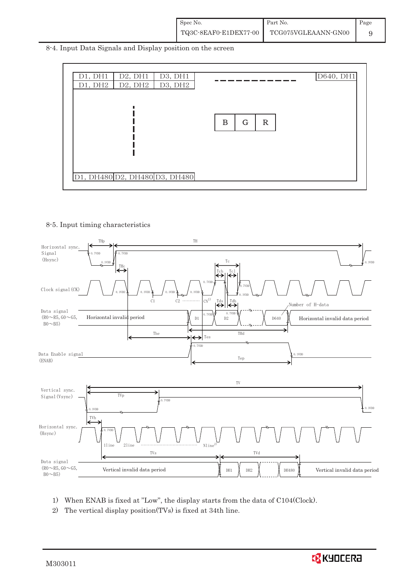| Spec No.              | Part No.            | Page |
|-----------------------|---------------------|------|
| TQ3C-8EAF0-E1DEX77-00 | TCG075VGLEAANN-GN00 |      |

8-4. Input Data Signals and Display position on the screen



#### 8-5. Input timing characteristics



- 1) When ENAB is fixed at "Low", the display starts from the data of C104(Clock).
- 2) The vertical display position(TVs) is fixed at 34th line.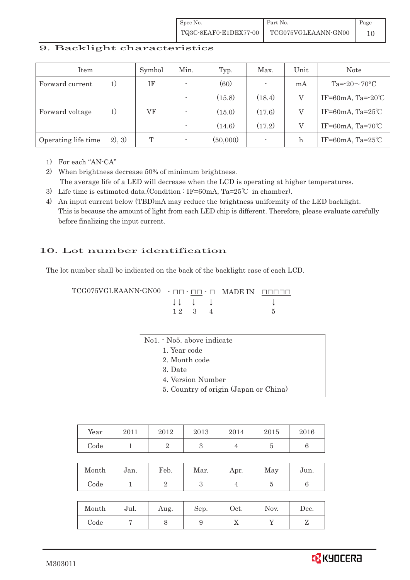Spec No. TQ3C-8EAF0-E1DEX77-00 Part No. TCG075VGLEAANN-GN00 Page 10

## 9. Backlight characteristics

| Item                |        | Symbol | Min.                     | Typ.     | Max.                     | Unit | <b>Note</b>                  |
|---------------------|--------|--------|--------------------------|----------|--------------------------|------|------------------------------|
| Forward current     | 1)     | ΙF     |                          | (60)     | $\sim$                   | mA   | Ta= $-20\sim70$ °C           |
|                     |        |        |                          | (15.8)   | (18.4)                   |      | IF=60mA, Ta= $-20^{\circ}$ C |
| Forward voltage     | 1)     | VF     | $\overline{a}$           | (15.0)   | (17.6)                   |      | IF=60mA, Ta= $25^{\circ}$ C  |
|                     |        |        |                          | (14.6)   | (17.2)                   | V    | IF=60mA, Ta=70 $°C$          |
| Operating life time | 2), 3) | T      | $\overline{\phantom{a}}$ | (50,000) | $\overline{\phantom{a}}$ | h    | IF=60mA, Ta= $25^{\circ}$ C  |

1) For each "AN-CA"

2) When brightness decrease 50% of minimum brightness. The average life of a LED will decrease when the LCD is operating at higher temperatures.

- 3) Life time is estimated data.(Condition : IF=60mA, Ta=25°C in chamber).
- 4) An input current below (TBD)mA may reduce the brightness uniformity of the LED backlight. This is because the amount of light from each LED chip is different. Therefore, please evaluate carefully before finalizing the input current.

#### 10. Lot number identification

The lot number shall be indicated on the back of the backlight case of each LCD.

 $TCG075VGLEAANN\cdot GN00 - H - H - H - H$  MADE IN  $H = H + H$  $\downarrow \downarrow \quad \downarrow \qquad \qquad \downarrow$  $12 \quad 3 \quad 4$  5

| No1. - No5. above indicate            |
|---------------------------------------|
| 1. Year code                          |
| 2. Month code                         |
| 3. Date                               |
| 4. Version Number                     |
| 5. Country of origin (Japan or China) |
|                                       |

| Year | 2011 | 2012 | 2013 | 2014 | 2015 | 2016 |
|------|------|------|------|------|------|------|
| Code |      |      |      |      |      |      |

| Month | Jan. | Feb. | Mar. | Apr. | May | Jun. |
|-------|------|------|------|------|-----|------|
| Code  |      |      |      |      |     |      |

| Month | Jul. | Aug. | Sep. | Oct.       | Nov. | Dec. |
|-------|------|------|------|------------|------|------|
| Code  |      |      |      | $\sqrt{2}$ |      |      |

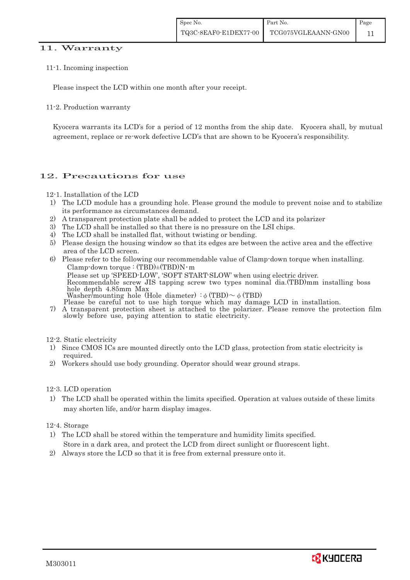#### 11. Warranty

#### 11-1. Incoming inspection

Please inspect the LCD within one month after your receipt.

#### 11-2. Production warranty

Kyocera warrants its LCD's for a period of 12 months from the ship date. Kyocera shall, by mutual agreement, replace or re-work defective LCD's that are shown to be Kyocera's responsibility.

## 12. Precautions for use

#### 12-1. Installation of the LCD

- 1) The LCD module has a grounding hole. Please ground the module to prevent noise and to stabilize its performance as circumstances demand.
- 2) A transparent protection plate shall be added to protect the LCD and its polarizer
- 3) The LCD shall be installed so that there is no pressure on the LSI chips.
- 4) The LCD shall be installed flat, without twisting or bending.
- 5) Please design the housing window so that its edges are between the active area and the effective area of the LCD screen.
- 6) Please refer to the following our recommendable value of Clamp-down torque when installing. Clamp-down torque :  $(TBD) \pm (TBD)N \cdot m$  Please set up 'SPEED-LOW', 'SOFT START-SLOW' when using electric driver. Recommendable screw JIS tapping screw two types nominal dia.(TBD)mm installing boss hole depth 4.85mm Max Washer/mounting hole (Hole diameter)  $\phi$  (TBD)  $\sim \phi$  (TBD)<br>Please be careful not to use high torque which may damage LCD in installation.
- 7) A transparent protection sheet is attached to the polarizer. Please remove the protection film slowly before use, paying attention to static electricity.

#### 12-2. Static electricity

- 1) Since CMOS ICs are mounted directly onto the LCD glass, protection from static electricity is required.
- 2) Workers should use body grounding. Operator should wear ground straps.

#### 12-3. LCD operation

1) The LCD shall be operated within the limits specified. Operation at values outside of these limits may shorten life, and/or harm display images.

#### 12-4. Storage

- 1) The LCD shall be stored within the temperature and humidity limits specified. Store in a dark area, and protect the LCD from direct sunlight or fluorescent light.
- 2) Always store the LCD so that it is free from external pressure onto it.

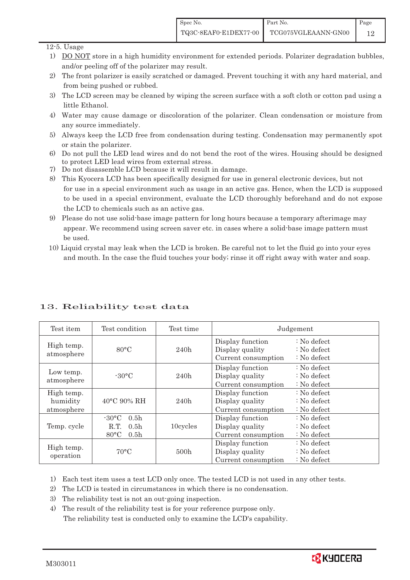#### 12-5. Usage

- 1) DO NOT store in a high humidity environment for extended periods. Polarizer degradation bubbles, and/or peeling off of the polarizer may result.
- 2) The front polarizer is easily scratched or damaged. Prevent touching it with any hard material, and from being pushed or rubbed.
- 3) The LCD screen may be cleaned by wiping the screen surface with a soft cloth or cotton pad using a little Ethanol.
- 4) Water may cause damage or discoloration of the polarizer. Clean condensation or moisture from any source immediately.
- 5) Always keep the LCD free from condensation during testing. Condensation may permanently spot or stain the polarizer.
- 6) Do not pull the LED lead wires and do not bend the root of the wires. Housing should be designed to protect LED lead wires from external stress.
- 7) Do not disassemble LCD because it will result in damage.
- 8) This Kyocera LCD has been specifically designed for use in general electronic devices, but not for use in a special environment such as usage in an active gas. Hence, when the LCD is supposed to be used in a special environment, evaluate the LCD thoroughly beforehand and do not expose the LCD to chemicals such as an active gas.
- 9) Please do not use solid-base image pattern for long hours because a temporary afterimage may appear. We recommend using screen saver etc. in cases where a solid-base image pattern must be used.
- 10) Liquid crystal may leak when the LCD is broken. Be careful not to let the fluid go into your eyes and mouth. In the case the fluid touches your body; rinse it off right away with water and soap.

| Test item                            | Test condition                                                                                        | Test time |                                                            | Judgement                                       |
|--------------------------------------|-------------------------------------------------------------------------------------------------------|-----------|------------------------------------------------------------|-------------------------------------------------|
| High temp.<br>atmosphere             | $80^{\circ}$ C                                                                                        | 240h      | Display function<br>Display quality<br>Current consumption | $: No$ defect<br>$: No$ defect<br>$: No$ defect |
| Low temp.<br>atmosphere              | $-30^{\circ}$ C                                                                                       | 240h      | Display function<br>Display quality<br>Current consumption | $: No$ defect<br>: No defect<br>$: No$ defect   |
| High temp.<br>humidity<br>atmosphere | $40^{\circ}$ C 90% RH                                                                                 | 240h      | Display function<br>Display quality<br>Current consumption | $: No$ defect<br>$: No$ defect<br>$: No$ defect |
| Temp. cycle                          | $-30^{\circ}$ C<br>0.5 <sub>h</sub><br>R.T.<br>0.5 <sub>h</sub><br>$80^{\circ}$ C<br>0.5 <sub>h</sub> | 10cycles  | Display function<br>Display quality<br>Current consumption | $: No$ defect<br>$: No$ defect<br>$: No$ defect |
| High temp.<br>operation              | $70^{\circ}$ C                                                                                        | 500h      | Display function<br>Display quality<br>Current consumption | $: No$ defect<br>$: No$ defect<br>$: No$ defect |

## 13. Reliability test data

1) Each test item uses a test LCD only once. The tested LCD is not used in any other tests.

2) The LCD is tested in circumstances in which there is no condensation.

3) The reliability test is not an out-going inspection.

4) The result of the reliability test is for your reference purpose only. The reliability test is conducted only to examine the LCD's capability.

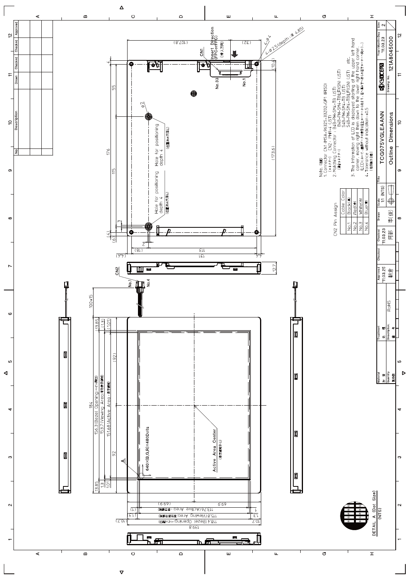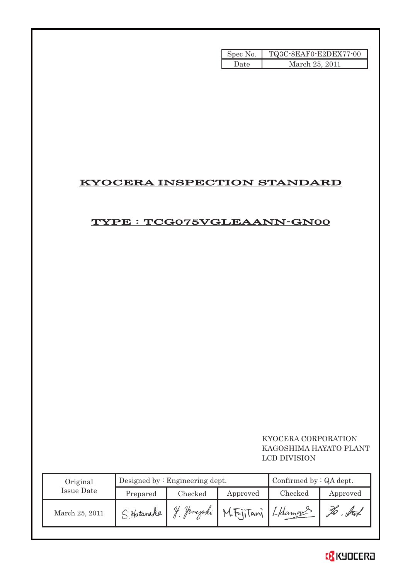| Spec No. | TQ3C-8EAF0-E2DEX77-00 |
|----------|-----------------------|
| Date     | March 25, 2011        |

# KYOCERA INSPECTION STANDARD

# TYPE : TCG075VGLEAANN-GN00

## KYOCERA CORPORATION KAGOSHIMA HAYATO PLANT LCD DIVISION

| Original       |             | Designed by $:$ Engineering dept. | Confirmed by $:QA$ dept. |         |          |
|----------------|-------------|-----------------------------------|--------------------------|---------|----------|
| Issue Date     | Prepared    | Checked                           | Approved                 | Checked | Approved |
| March 25, 2011 | S. Hatanaka | V<br>Jamazaki                     | M.FijiTani [Lhamaus      |         |          |

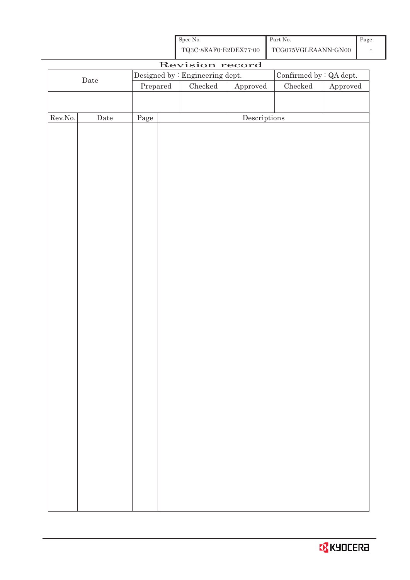| Spec No.              | Part No.            | Page |
|-----------------------|---------------------|------|
| TQ3C-8EAF0-E2DEX77-00 | TCG075VGLEAANN-GN00 |      |

| Designed by : Engineering dept.<br>Confirmed by $\colon$ QA dept.<br>$\rm{Date}$<br>$\ensuremath{\mathrm{Prepared}}$<br>$\rm Checked$<br>$\rm Checked$<br>${\Large\bf Approved}$<br>${\Large\bf Approved}$<br>Rev.No.<br>$\label{eq:2} \textbf{Descriptions}$<br>$\rm{Date}$<br>Page |  |  | Revision record |  |  |
|--------------------------------------------------------------------------------------------------------------------------------------------------------------------------------------------------------------------------------------------------------------------------------------|--|--|-----------------|--|--|
|                                                                                                                                                                                                                                                                                      |  |  |                 |  |  |
|                                                                                                                                                                                                                                                                                      |  |  |                 |  |  |
|                                                                                                                                                                                                                                                                                      |  |  |                 |  |  |
|                                                                                                                                                                                                                                                                                      |  |  |                 |  |  |
|                                                                                                                                                                                                                                                                                      |  |  |                 |  |  |
|                                                                                                                                                                                                                                                                                      |  |  |                 |  |  |
|                                                                                                                                                                                                                                                                                      |  |  |                 |  |  |
|                                                                                                                                                                                                                                                                                      |  |  |                 |  |  |
|                                                                                                                                                                                                                                                                                      |  |  |                 |  |  |
|                                                                                                                                                                                                                                                                                      |  |  |                 |  |  |
|                                                                                                                                                                                                                                                                                      |  |  |                 |  |  |
|                                                                                                                                                                                                                                                                                      |  |  |                 |  |  |
|                                                                                                                                                                                                                                                                                      |  |  |                 |  |  |
|                                                                                                                                                                                                                                                                                      |  |  |                 |  |  |
|                                                                                                                                                                                                                                                                                      |  |  |                 |  |  |
|                                                                                                                                                                                                                                                                                      |  |  |                 |  |  |
|                                                                                                                                                                                                                                                                                      |  |  |                 |  |  |
|                                                                                                                                                                                                                                                                                      |  |  |                 |  |  |
|                                                                                                                                                                                                                                                                                      |  |  |                 |  |  |
|                                                                                                                                                                                                                                                                                      |  |  |                 |  |  |
|                                                                                                                                                                                                                                                                                      |  |  |                 |  |  |
|                                                                                                                                                                                                                                                                                      |  |  |                 |  |  |
|                                                                                                                                                                                                                                                                                      |  |  |                 |  |  |
|                                                                                                                                                                                                                                                                                      |  |  |                 |  |  |
|                                                                                                                                                                                                                                                                                      |  |  |                 |  |  |
|                                                                                                                                                                                                                                                                                      |  |  |                 |  |  |
|                                                                                                                                                                                                                                                                                      |  |  |                 |  |  |
|                                                                                                                                                                                                                                                                                      |  |  |                 |  |  |
|                                                                                                                                                                                                                                                                                      |  |  |                 |  |  |
|                                                                                                                                                                                                                                                                                      |  |  |                 |  |  |
|                                                                                                                                                                                                                                                                                      |  |  |                 |  |  |
|                                                                                                                                                                                                                                                                                      |  |  |                 |  |  |
|                                                                                                                                                                                                                                                                                      |  |  |                 |  |  |
|                                                                                                                                                                                                                                                                                      |  |  |                 |  |  |
|                                                                                                                                                                                                                                                                                      |  |  |                 |  |  |
|                                                                                                                                                                                                                                                                                      |  |  |                 |  |  |
|                                                                                                                                                                                                                                                                                      |  |  |                 |  |  |
|                                                                                                                                                                                                                                                                                      |  |  |                 |  |  |
|                                                                                                                                                                                                                                                                                      |  |  |                 |  |  |
|                                                                                                                                                                                                                                                                                      |  |  |                 |  |  |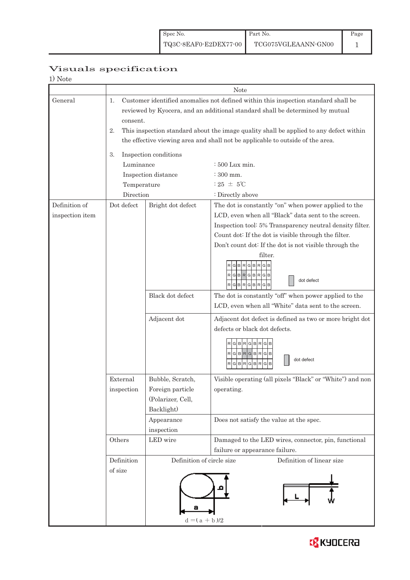Page 1

# Visuals specification

| ------------ |  |
|--------------|--|
| 1) Note      |  |
|              |  |

|                 |                 |                           | <b>Note</b>                                                                            |  |  |  |  |  |
|-----------------|-----------------|---------------------------|----------------------------------------------------------------------------------------|--|--|--|--|--|
| General         | 1.              |                           | Customer identified anomalies not defined within this inspection standard shall be     |  |  |  |  |  |
|                 |                 |                           | reviewed by Kyocera, and an additional standard shall be determined by mutual          |  |  |  |  |  |
|                 | consent.        |                           |                                                                                        |  |  |  |  |  |
|                 | 2.              |                           | This inspection standard about the image quality shall be applied to any defect within |  |  |  |  |  |
|                 |                 |                           | the effective viewing area and shall not be applicable to outside of the area.         |  |  |  |  |  |
|                 |                 |                           |                                                                                        |  |  |  |  |  |
|                 | 3.              | Inspection conditions     |                                                                                        |  |  |  |  |  |
|                 | Luminance       |                           | : 500 Lux min.                                                                         |  |  |  |  |  |
|                 |                 | Inspection distance       | : 300 mm.                                                                              |  |  |  |  |  |
|                 | Temperature     |                           | : $25 \pm 5^{\circ}$ C                                                                 |  |  |  |  |  |
|                 | Direction       |                           | : Directly above                                                                       |  |  |  |  |  |
| Definition of   | Dot defect      | Bright dot defect         | The dot is constantly "on" when power applied to the                                   |  |  |  |  |  |
| inspection item |                 |                           | LCD, even when all "Black" data sent to the screen.                                    |  |  |  |  |  |
|                 |                 |                           | Inspection tool: 5% Transparency neutral density filter.                               |  |  |  |  |  |
|                 |                 |                           | Count dot: If the dot is visible through the filter.                                   |  |  |  |  |  |
|                 |                 |                           | Don't count dot: If the dot is not visible through the                                 |  |  |  |  |  |
|                 |                 |                           | filter.                                                                                |  |  |  |  |  |
|                 |                 |                           | G B <br>$R$ <sup>G</sup><br>в                                                          |  |  |  |  |  |
|                 |                 |                           | G<br>B<br>G<br>B<br>R<br>dot defect                                                    |  |  |  |  |  |
|                 |                 |                           | RGBRGBRG                                                                               |  |  |  |  |  |
|                 |                 | Black dot defect          | The dot is constantly "off" when power applied to the                                  |  |  |  |  |  |
|                 |                 |                           | LCD, even when all "White" data sent to the screen.                                    |  |  |  |  |  |
|                 |                 | Adjacent dot              | Adjacent dot defect is defined as two or more bright dot                               |  |  |  |  |  |
|                 |                 |                           | defects or black dot defects.                                                          |  |  |  |  |  |
|                 |                 |                           |                                                                                        |  |  |  |  |  |
|                 |                 |                           | R<br><b>GBR</b>                                                                        |  |  |  |  |  |
|                 |                 |                           | RGBRGBRGB<br>dot defect                                                                |  |  |  |  |  |
|                 |                 |                           | G<br>R<br>G<br>B<br>B<br>R<br>G                                                        |  |  |  |  |  |
|                 | External        | Bubble, Scratch,          | Visible operating (all pixels "Black" or "White") and non                              |  |  |  |  |  |
|                 | inspection      | Foreign particle          | operating.                                                                             |  |  |  |  |  |
|                 |                 | (Polarizer, Cell,         |                                                                                        |  |  |  |  |  |
|                 |                 | Backlight)                |                                                                                        |  |  |  |  |  |
|                 |                 | Appearance                | Does not satisfy the value at the spec.                                                |  |  |  |  |  |
|                 |                 | inspection                |                                                                                        |  |  |  |  |  |
|                 | Others          | LED wire                  | Damaged to the LED wires, connector, pin, functional                                   |  |  |  |  |  |
|                 |                 |                           | failure or appearance failure.                                                         |  |  |  |  |  |
|                 | Definition      | Definition of circle size | Definition of linear size                                                              |  |  |  |  |  |
|                 | of size         |                           |                                                                                        |  |  |  |  |  |
|                 |                 |                           |                                                                                        |  |  |  |  |  |
|                 |                 |                           |                                                                                        |  |  |  |  |  |
|                 |                 |                           |                                                                                        |  |  |  |  |  |
|                 |                 |                           |                                                                                        |  |  |  |  |  |
|                 | $d = (a + b)/2$ |                           |                                                                                        |  |  |  |  |  |